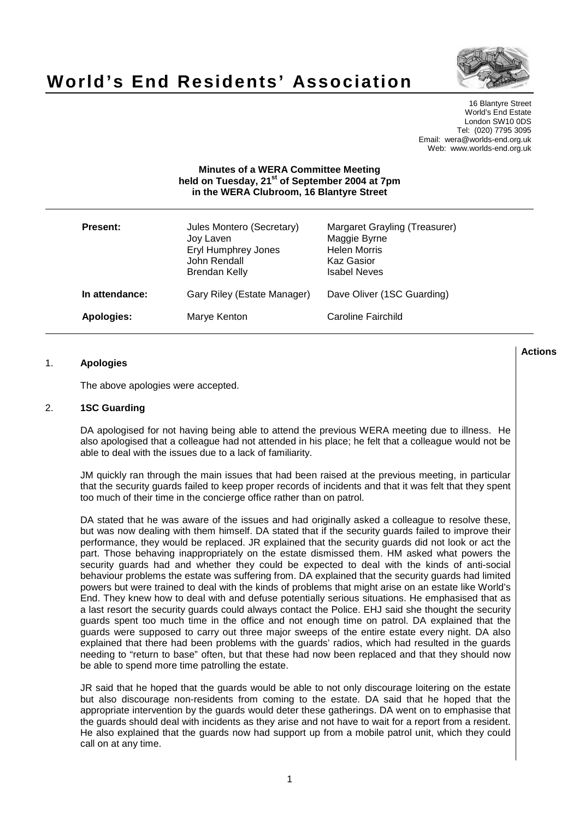

# **World's End Residents' Association**

16 Blantyre Street World's End Estate London SW10 0DS Tel: (020) 7795 3095 Email: wera@worlds-end.org.uk Web: www.worlds-end.org.uk

# **Minutes of a WERA Committee Meeting held on Tuesday, 21 st of September 2004 at 7pm in the WERA Clubroom, 16 Blantyre Street**

| <b>Present:</b> | Jules Montero (Secretary)<br>Joy Laven<br>Eryl Humphrey Jones<br>John Rendall<br>Brendan Kelly | Margaret Grayling (Treasurer)<br>Maggie Byrne<br><b>Helen Morris</b><br>Kaz Gasior<br><b>Isabel Neves</b> |
|-----------------|------------------------------------------------------------------------------------------------|-----------------------------------------------------------------------------------------------------------|
| In attendance:  | Gary Riley (Estate Manager)                                                                    | Dave Oliver (1SC Guarding)                                                                                |
| Apologies:      | Marye Kenton                                                                                   | Caroline Fairchild                                                                                        |

#### 1. **Apologies**

The above apologies were accepted.

#### 2. **1SC Guarding**

DA apologised for not having being able to attend the previous WERA meeting due to illness. He also apologised that a colleague had not attended in his place; he felt that a colleague would not be able to deal with the issues due to a lack of familiarity.

JM quickly ran through the main issues that had been raised at the previous meeting, in particular that the security guards failed to keep proper records of incidents and that it was felt that they spent too much of their time in the concierge office rather than on patrol.

DA stated that he was aware of the issues and had originally asked a colleague to resolve these, but was now dealing with them himself. DA stated that if the security guards failed to improve their performance, they would be replaced. JR explained that the security guards did not look or act the part. Those behaving inappropriately on the estate dismissed them. HM asked what powers the security guards had and whether they could be expected to deal with the kinds of anti-social behaviour problems the estate was suffering from. DA explained that the security guards had limited powers but were trained to deal with the kinds of problems that might arise on an estate like World's End. They knew how to deal with and defuse potentially serious situations. He emphasised that as a last resort the security guards could always contact the Police. EHJ said she thought the security guards spent too much time in the office and not enough time on patrol. DA explained that the guards were supposed to carry out three major sweeps of the entire estate every night. DA also explained that there had been problems with the guards' radios, which had resulted in the guards needing to "return to base" often, but that these had now been replaced and that they should now be able to spend more time patrolling the estate.

JR said that he hoped that the guards would be able to not only discourage loitering on the estate but also discourage non-residents from coming to the estate. DA said that he hoped that the appropriate intervention by the guards would deter these gatherings. DA went on to emphasise that the guards should deal with incidents as they arise and not have to wait for a report from a resident. He also explained that the guards now had support up from a mobile patrol unit, which they could call on at any time.

**Actions**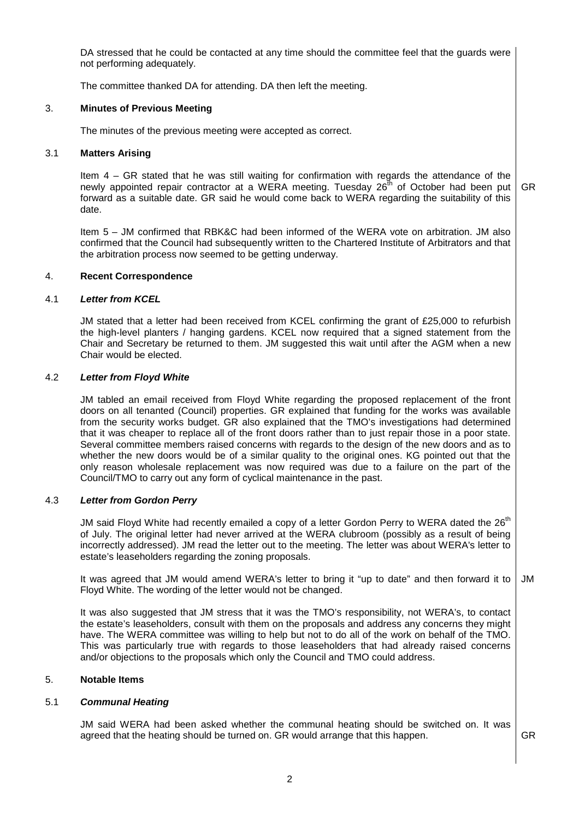DA stressed that he could be contacted at any time should the committee feel that the guards were not performing adequately.

The committee thanked DA for attending. DA then left the meeting.

# 3. **Minutes of Previous Meeting**

The minutes of the previous meeting were accepted as correct.

## 3.1 **Matters Arising**

Item 4 – GR stated that he was still waiting for confirmation with regards the attendance of the newly appointed repair contractor at a WERA meeting. Tuesday 26<sup>th</sup> of October had been put forward as a suitable date. GR said he would come back to WERA regarding the suitability of this date. GR

Item 5 – JM confirmed that RBK&C had been informed of the WERA vote on arbitration. JM also confirmed that the Council had subsequently written to the Chartered Institute of Arbitrators and that the arbitration process now seemed to be getting underway.

# 4. **Recent Correspondence**

#### 4.1 **Letter from KCEL**

JM stated that a letter had been received from KCEL confirming the grant of £25,000 to refurbish the high-level planters / hanging gardens. KCEL now required that a signed statement from the Chair and Secretary be returned to them. JM suggested this wait until after the AGM when a new Chair would be elected.

#### 4.2 **Letter from Floyd White**

JM tabled an email received from Floyd White regarding the proposed replacement of the front doors on all tenanted (Council) properties. GR explained that funding for the works was available from the security works budget. GR also explained that the TMO's investigations had determined that it was cheaper to replace all of the front doors rather than to just repair those in a poor state. Several committee members raised concerns with regards to the design of the new doors and as to whether the new doors would be of a similar quality to the original ones. KG pointed out that the only reason wholesale replacement was now required was due to a failure on the part of the Council/TMO to carry out any form of cyclical maintenance in the past.

#### 4.3 **Letter from Gordon Perry**

JM said Floyd White had recently emailed a copy of a letter Gordon Perry to WERA dated the 26<sup>th</sup> of July. The original letter had never arrived at the WERA clubroom (possibly as a result of being incorrectly addressed). JM read the letter out to the meeting. The letter was about WERA's letter to estate's leaseholders regarding the zoning proposals.

It was agreed that JM would amend WERA's letter to bring it "up to date" and then forward it to Floyd White. The wording of the letter would not be changed. JM

It was also suggested that JM stress that it was the TMO's responsibility, not WERA's, to contact the estate's leaseholders, consult with them on the proposals and address any concerns they might have. The WERA committee was willing to help but not to do all of the work on behalf of the TMO. This was particularly true with regards to those leaseholders that had already raised concerns and/or objections to the proposals which only the Council and TMO could address.

# 5. **Notable Items**

# 5.1 **Communal Heating**

JM said WERA had been asked whether the communal heating should be switched on. It was agreed that the heating should be turned on. GR would arrange that this happen.  $\Box$  GR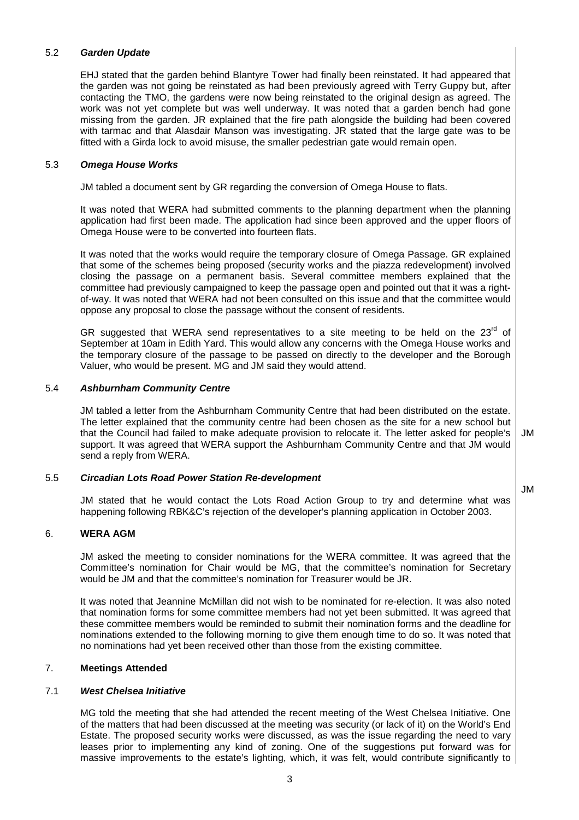## 5.2 **Garden Update**

EHJ stated that the garden behind Blantyre Tower had finally been reinstated. It had appeared that the garden was not going be reinstated as had been previously agreed with Terry Guppy but, after contacting the TMO, the gardens were now being reinstated to the original design as agreed. The work was not yet complete but was well underway. It was noted that a garden bench had gone missing from the garden. JR explained that the fire path alongside the building had been covered with tarmac and that Alasdair Manson was investigating. JR stated that the large gate was to be fitted with a Girda lock to avoid misuse, the smaller pedestrian gate would remain open.

#### 5.3 **Omega House Works**

JM tabled a document sent by GR regarding the conversion of Omega House to flats.

It was noted that WERA had submitted comments to the planning department when the planning application had first been made. The application had since been approved and the upper floors of Omega House were to be converted into fourteen flats.

It was noted that the works would require the temporary closure of Omega Passage. GR explained that some of the schemes being proposed (security works and the piazza redevelopment) involved closing the passage on a permanent basis. Several committee members explained that the committee had previously campaigned to keep the passage open and pointed out that it was a rightof-way. It was noted that WERA had not been consulted on this issue and that the committee would oppose any proposal to close the passage without the consent of residents.

GR suggested that WERA send representatives to a site meeting to be held on the 23 $^{\text{rd}}$  of September at 10am in Edith Yard. This would allow any concerns with the Omega House works and the temporary closure of the passage to be passed on directly to the developer and the Borough Valuer, who would be present. MG and JM said they would attend.

#### 5.4 **Ashburnham Community Centre**

JM tabled a letter from the Ashburnham Community Centre that had been distributed on the estate. The letter explained that the community centre had been chosen as the site for a new school but that the Council had failed to make adequate provision to relocate it. The letter asked for people's support. It was agreed that WERA support the Ashburnham Community Centre and that JM would send a reply from WERA.

#### 5.5 **Circadian Lots Road Power Station Re-development**

JM stated that he would contact the Lots Road Action Group to try and determine what was happening following RBK&C's rejection of the developer's planning application in October 2003.

#### 6. **WERA AGM**

JM asked the meeting to consider nominations for the WERA committee. It was agreed that the Committee's nomination for Chair would be MG, that the committee's nomination for Secretary would be JM and that the committee's nomination for Treasurer would be JR.

It was noted that Jeannine McMillan did not wish to be nominated for re-election. It was also noted that nomination forms for some committee members had not yet been submitted. It was agreed that these committee members would be reminded to submit their nomination forms and the deadline for nominations extended to the following morning to give them enough time to do so. It was noted that no nominations had yet been received other than those from the existing committee.

# 7. **Meetings Attended**

#### 7.1 **West Chelsea Initiative**

MG told the meeting that she had attended the recent meeting of the West Chelsea Initiative. One of the matters that had been discussed at the meeting was security (or lack of it) on the World's End Estate. The proposed security works were discussed, as was the issue regarding the need to vary leases prior to implementing any kind of zoning. One of the suggestions put forward was for massive improvements to the estate's lighting, which, it was felt, would contribute significantly to

JM